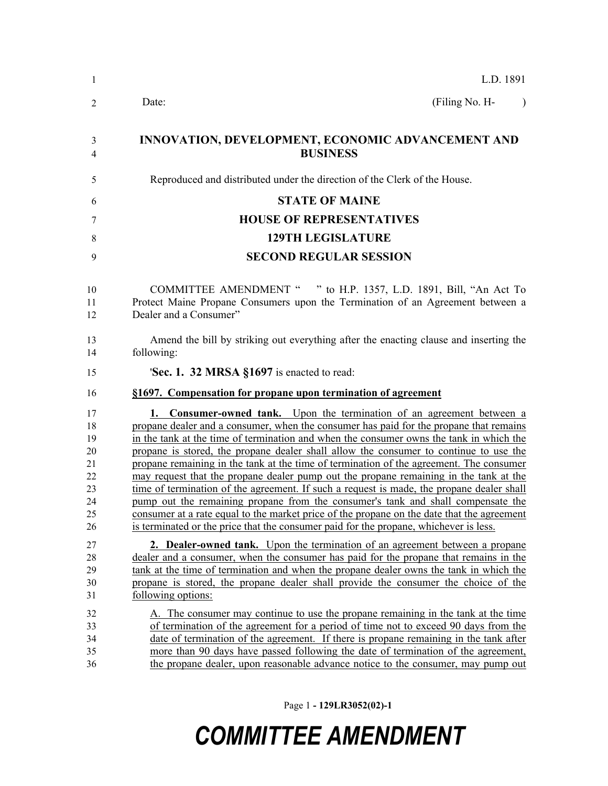| L.D. 1891                                                                                                                                                                                                                                                                                                                                                                                                                                                                                                                                                                                                                                                                                                                                                                                                                                                                                                               |
|-------------------------------------------------------------------------------------------------------------------------------------------------------------------------------------------------------------------------------------------------------------------------------------------------------------------------------------------------------------------------------------------------------------------------------------------------------------------------------------------------------------------------------------------------------------------------------------------------------------------------------------------------------------------------------------------------------------------------------------------------------------------------------------------------------------------------------------------------------------------------------------------------------------------------|
| (Filing No. H-<br>Date:<br>$\lambda$                                                                                                                                                                                                                                                                                                                                                                                                                                                                                                                                                                                                                                                                                                                                                                                                                                                                                    |
| INNOVATION, DEVELOPMENT, ECONOMIC ADVANCEMENT AND<br><b>BUSINESS</b>                                                                                                                                                                                                                                                                                                                                                                                                                                                                                                                                                                                                                                                                                                                                                                                                                                                    |
| Reproduced and distributed under the direction of the Clerk of the House.                                                                                                                                                                                                                                                                                                                                                                                                                                                                                                                                                                                                                                                                                                                                                                                                                                               |
| <b>STATE OF MAINE</b>                                                                                                                                                                                                                                                                                                                                                                                                                                                                                                                                                                                                                                                                                                                                                                                                                                                                                                   |
| <b>HOUSE OF REPRESENTATIVES</b>                                                                                                                                                                                                                                                                                                                                                                                                                                                                                                                                                                                                                                                                                                                                                                                                                                                                                         |
| <b>129TH LEGISLATURE</b>                                                                                                                                                                                                                                                                                                                                                                                                                                                                                                                                                                                                                                                                                                                                                                                                                                                                                                |
| <b>SECOND REGULAR SESSION</b>                                                                                                                                                                                                                                                                                                                                                                                                                                                                                                                                                                                                                                                                                                                                                                                                                                                                                           |
| COMMITTEE AMENDMENT " " to H.P. 1357, L.D. 1891, Bill, "An Act To<br>Protect Maine Propane Consumers upon the Termination of an Agreement between a<br>Dealer and a Consumer"                                                                                                                                                                                                                                                                                                                                                                                                                                                                                                                                                                                                                                                                                                                                           |
| Amend the bill by striking out everything after the enacting clause and inserting the<br>following:                                                                                                                                                                                                                                                                                                                                                                                                                                                                                                                                                                                                                                                                                                                                                                                                                     |
| 'Sec. 1. 32 MRSA §1697 is enacted to read:                                                                                                                                                                                                                                                                                                                                                                                                                                                                                                                                                                                                                                                                                                                                                                                                                                                                              |
| §1697. Compensation for propane upon termination of agreement                                                                                                                                                                                                                                                                                                                                                                                                                                                                                                                                                                                                                                                                                                                                                                                                                                                           |
| <b>1. Consumer-owned tank.</b> Upon the termination of an agreement between a<br>propane dealer and a consumer, when the consumer has paid for the propane that remains<br>in the tank at the time of termination and when the consumer owns the tank in which the<br>propane is stored, the propane dealer shall allow the consumer to continue to use the<br>propane remaining in the tank at the time of termination of the agreement. The consumer<br>may request that the propane dealer pump out the propane remaining in the tank at the<br>time of termination of the agreement. If such a request is made, the propane dealer shall<br>pump out the remaining propane from the consumer's tank and shall compensate the<br>consumer at a rate equal to the market price of the propane on the date that the agreement<br>is terminated or the price that the consumer paid for the propane, whichever is less. |
| <b>2. Dealer-owned tank.</b> Upon the termination of an agreement between a propane<br>dealer and a consumer, when the consumer has paid for the propane that remains in the<br>tank at the time of termination and when the propane dealer owns the tank in which the<br>propane is stored, the propane dealer shall provide the consumer the choice of the<br>following options:                                                                                                                                                                                                                                                                                                                                                                                                                                                                                                                                      |
| A. The consumer may continue to use the propane remaining in the tank at the time<br>of termination of the agreement for a period of time not to exceed 90 days from the<br>date of termination of the agreement. If there is propane remaining in the tank after<br>more than 90 days have passed following the date of termination of the agreement,<br>the propane dealer, upon reasonable advance notice to the consumer, may pump out                                                                                                                                                                                                                                                                                                                                                                                                                                                                              |

Page 1 **- 129LR3052(02)-1**

## *COMMITTEE AMENDMENT*